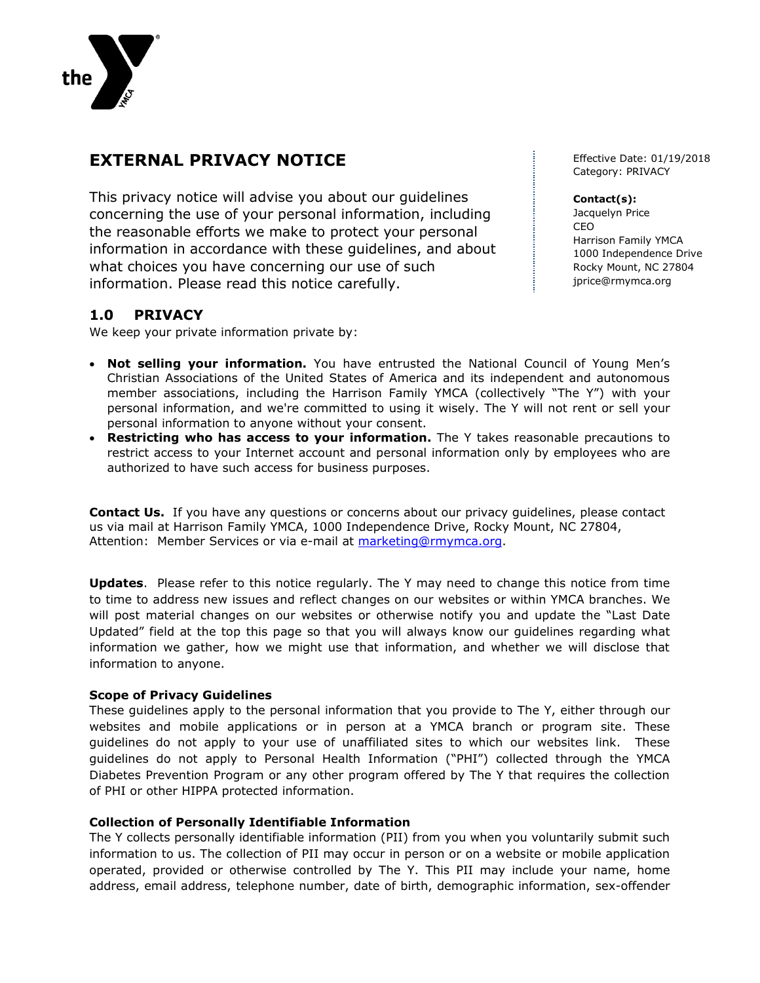

# **EXTERNAL PRIVACY NOTICE**

This privacy notice will advise you about our guidelines concerning the use of your personal information, including the reasonable efforts we make to protect your personal information in accordance with these guidelines, and about what choices you have concerning our use of such information. Please read this notice carefully.

# **1.0 PRIVACY**

We keep your private information private by:

- **Not selling your information.** You have entrusted the National Council of Young Men's Christian Associations of the United States of America and its independent and autonomous member associations, including the Harrison Family YMCA (collectively "The Y") with your personal information, and we're committed to using it wisely. The Y will not rent or sell your personal information to anyone without your consent.
- **Restricting who has access to your information.** The Y takes reasonable precautions to restrict access to your Internet account and personal information only by employees who are authorized to have such access for business purposes.

**Contact Us.** If you have any questions or concerns about our privacy guidelines, please contact us via mail at Harrison Family YMCA, 1000 Independence Drive, Rocky Mount, NC 27804, Attention: Member Services or via e-mail at [marketing@rmymca.org.](mailto:marketing@rmymca.org)

**Updates**. Please refer to this notice regularly. The Y may need to change this notice from time to time to address new issues and reflect changes on our websites or within YMCA branches. We will post material changes on our websites or otherwise notify you and update the "Last Date Updated" field at the top this page so that you will always know our guidelines regarding what information we gather, how we might use that information, and whether we will disclose that information to anyone.

## **Scope of Privacy Guidelines**

These guidelines apply to the personal information that you provide to The Y, either through our websites and mobile applications or in person at a YMCA branch or program site. These guidelines do not apply to your use of unaffiliated sites to which our websites link. These guidelines do not apply to Personal Health Information ("PHI") collected through the YMCA Diabetes Prevention Program or any other program offered by The Y that requires the collection of PHI or other HIPPA protected information.

## **Collection of Personally Identifiable Information**

The Y collects personally identifiable information (PII) from you when you voluntarily submit such information to us. The collection of PII may occur in person or on a website or mobile application operated, provided or otherwise controlled by The Y. This PII may include your name, home address, email address, telephone number, date of birth, demographic information, sex-offender

Effective Date: 01/19/2018 Category: PRIVACY

#### **Contact(s):**

Jacquelyn Price CEO Harrison Family YMCA 1000 Independence Drive Rocky Mount, NC 27804 jprice@rmymca.org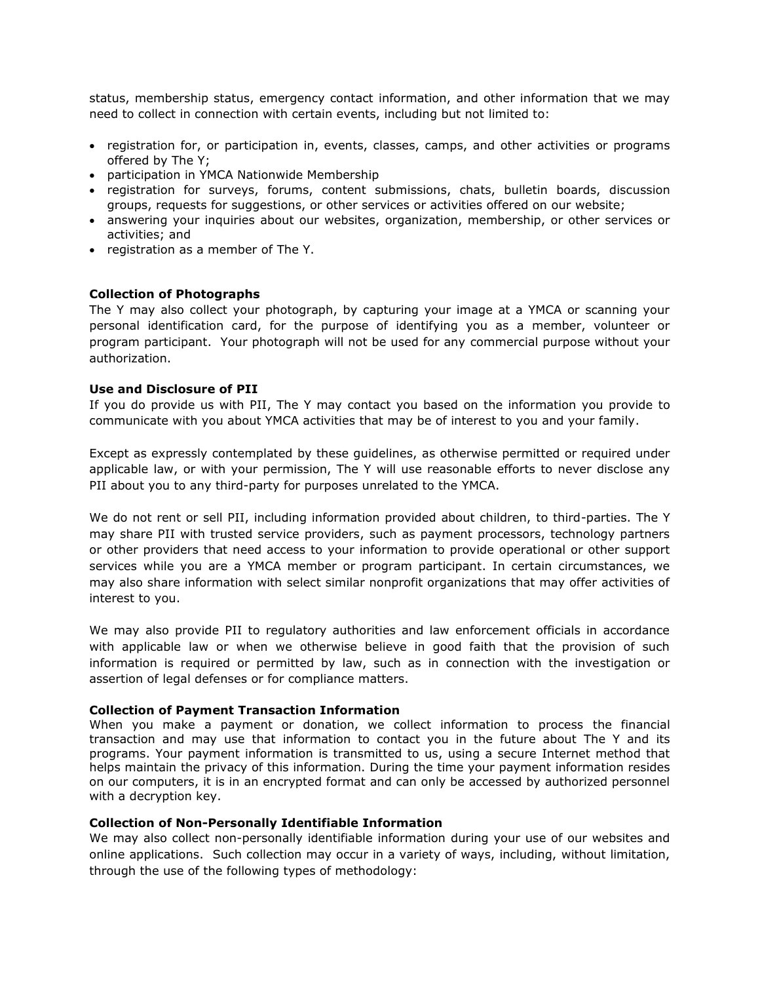status, membership status, emergency contact information, and other information that we may need to collect in connection with certain events, including but not limited to:

- registration for, or participation in, events, classes, camps, and other activities or programs offered by The Y;
- participation in YMCA Nationwide Membership
- registration for surveys, forums, content submissions, chats, bulletin boards, discussion groups, requests for suggestions, or other services or activities offered on our website;
- answering your inquiries about our websites, organization, membership, or other services or activities; and
- registration as a member of The Y.

#### **Collection of Photographs**

The Y may also collect your photograph, by capturing your image at a YMCA or scanning your personal identification card, for the purpose of identifying you as a member, volunteer or program participant. Your photograph will not be used for any commercial purpose without your authorization.

#### **Use and Disclosure of PII**

If you do provide us with PII, The Y may contact you based on the information you provide to communicate with you about YMCA activities that may be of interest to you and your family.

Except as expressly contemplated by these guidelines, as otherwise permitted or required under applicable law, or with your permission, The Y will use reasonable efforts to never disclose any PII about you to any third-party for purposes unrelated to the YMCA.

We do not rent or sell PII, including information provided about children, to third-parties. The Y may share PII with trusted service providers, such as payment processors, technology partners or other providers that need access to your information to provide operational or other support services while you are a YMCA member or program participant. In certain circumstances, we may also share information with select similar nonprofit organizations that may offer activities of interest to you.

We may also provide PII to regulatory authorities and law enforcement officials in accordance with applicable law or when we otherwise believe in good faith that the provision of such information is required or permitted by law, such as in connection with the investigation or assertion of legal defenses or for compliance matters.

#### **Collection of Payment Transaction Information**

When you make a payment or donation, we collect information to process the financial transaction and may use that information to contact you in the future about The Y and its programs. Your payment information is transmitted to us, using a secure Internet method that helps maintain the privacy of this information. During the time your payment information resides on our computers, it is in an encrypted format and can only be accessed by authorized personnel with a decryption key.

#### **Collection of Non-Personally Identifiable Information**

We may also collect non-personally identifiable information during your use of our websites and online applications. Such collection may occur in a variety of ways, including, without limitation, through the use of the following types of methodology: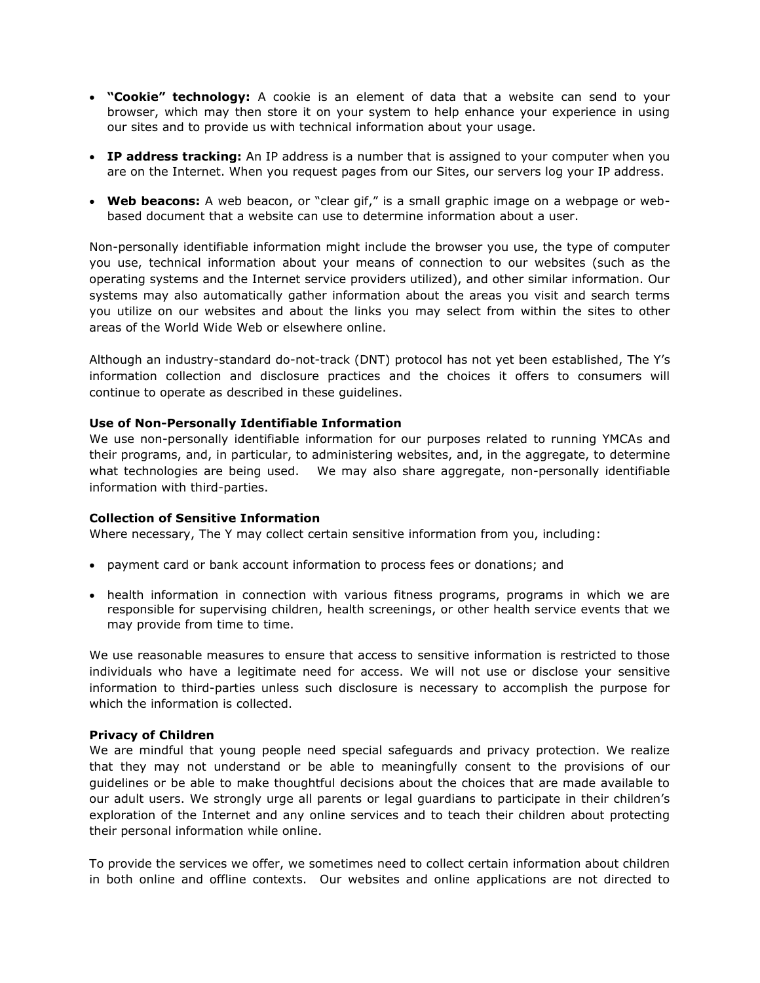- **"Cookie" technology:** A cookie is an element of data that a website can send to your browser, which may then store it on your system to help enhance your experience in using our sites and to provide us with technical information about your usage.
- **IP address tracking:** An IP address is a number that is assigned to your computer when you are on the Internet. When you request pages from our Sites, our servers log your IP address.
- **Web beacons:** A web beacon, or "clear gif," is a small graphic image on a webpage or webbased document that a website can use to determine information about a user.

Non-personally identifiable information might include the browser you use, the type of computer you use, technical information about your means of connection to our websites (such as the operating systems and the Internet service providers utilized), and other similar information. Our systems may also automatically gather information about the areas you visit and search terms you utilize on our websites and about the links you may select from within the sites to other areas of the World Wide Web or elsewhere online.

Although an industry-standard do-not-track (DNT) protocol has not yet been established, The Y's information collection and disclosure practices and the choices it offers to consumers will continue to operate as described in these guidelines.

## **Use of Non-Personally Identifiable Information**

We use non-personally identifiable information for our purposes related to running YMCAs and their programs, and, in particular, to administering websites, and, in the aggregate, to determine what technologies are being used. We may also share aggregate, non-personally identifiable information with third-parties.

## **Collection of Sensitive Information**

Where necessary, The Y may collect certain sensitive information from you, including:

- payment card or bank account information to process fees or donations; and
- health information in connection with various fitness programs, programs in which we are responsible for supervising children, health screenings, or other health service events that we may provide from time to time.

We use reasonable measures to ensure that access to sensitive information is restricted to those individuals who have a legitimate need for access. We will not use or disclose your sensitive information to third-parties unless such disclosure is necessary to accomplish the purpose for which the information is collected.

## **Privacy of Children**

We are mindful that young people need special safeguards and privacy protection. We realize that they may not understand or be able to meaningfully consent to the provisions of our guidelines or be able to make thoughtful decisions about the choices that are made available to our adult users. We strongly urge all parents or legal guardians to participate in their children's exploration of the Internet and any online services and to teach their children about protecting their personal information while online.

To provide the services we offer, we sometimes need to collect certain information about children in both online and offline contexts. Our websites and online applications are not directed to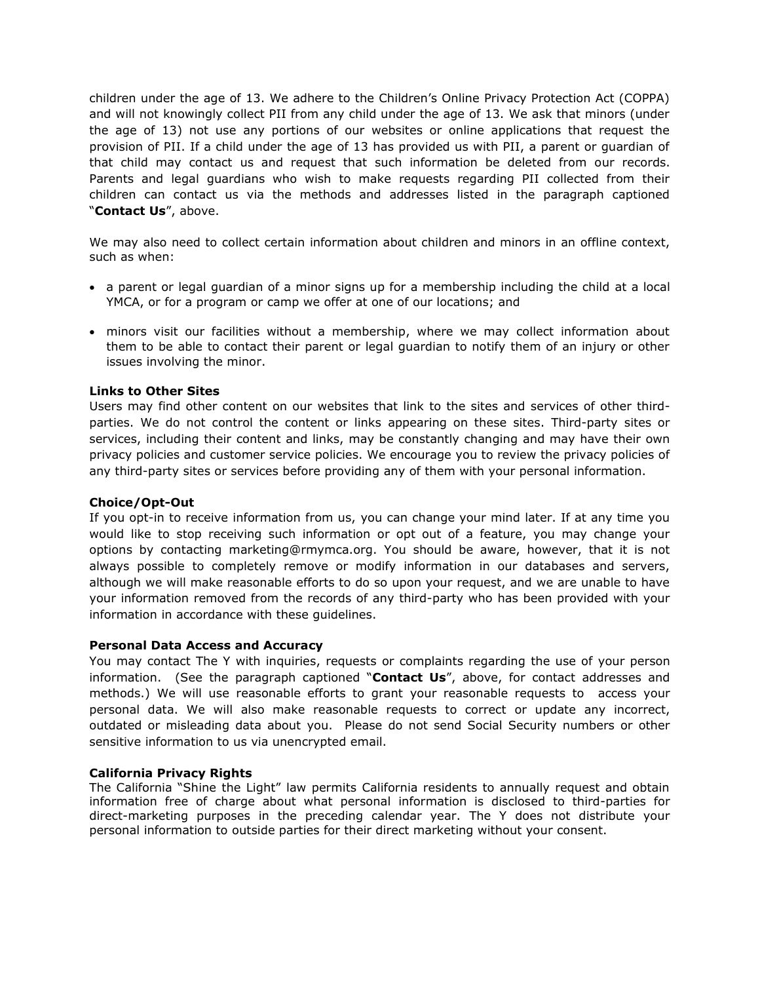children under the age of 13. We adhere to the Children's Online Privacy Protection Act (COPPA) and will not knowingly collect PII from any child under the age of 13. We ask that minors (under the age of 13) not use any portions of our websites or online applications that request the provision of PII. If a child under the age of 13 has provided us with PII, a parent or guardian of that child may contact us and request that such information be deleted from our records. Parents and legal guardians who wish to make requests regarding PII collected from their children can contact us via the methods and addresses listed in the paragraph captioned "**Contact Us**", above.

We may also need to collect certain information about children and minors in an offline context, such as when:

- a parent or legal guardian of a minor signs up for a membership including the child at a local YMCA, or for a program or camp we offer at one of our locations; and
- minors visit our facilities without a membership, where we may collect information about them to be able to contact their parent or legal guardian to notify them of an injury or other issues involving the minor.

## **Links to Other Sites**

Users may find other content on our websites that link to the sites and services of other thirdparties. We do not control the content or links appearing on these sites. Third-party sites or services, including their content and links, may be constantly changing and may have their own privacy policies and customer service policies. We encourage you to review the privacy policies of any third-party sites or services before providing any of them with your personal information.

## **Choice/Opt-Out**

If you opt-in to receive information from us, you can change your mind later. If at any time you would like to stop receiving such information or opt out of a feature, you may change your options by contacting marketing@rmymca.org. You should be aware, however, that it is not always possible to completely remove or modify information in our databases and servers, although we will make reasonable efforts to do so upon your request, and we are unable to have your information removed from the records of any third-party who has been provided with your information in accordance with these guidelines.

#### **Personal Data Access and Accuracy**

You may contact The Y with inquiries, requests or complaints regarding the use of your person information. (See the paragraph captioned "**Contact Us**", above, for contact addresses and methods.) We will use reasonable efforts to grant your reasonable requests to access your personal data. We will also make reasonable requests to correct or update any incorrect, outdated or misleading data about you. Please do not send Social Security numbers or other sensitive information to us via unencrypted email.

#### **California Privacy Rights**

The California "Shine the Light" law permits California residents to annually request and obtain information free of charge about what personal information is disclosed to third-parties for direct-marketing purposes in the preceding calendar year. The Y does not distribute your personal information to outside parties for their direct marketing without your consent.